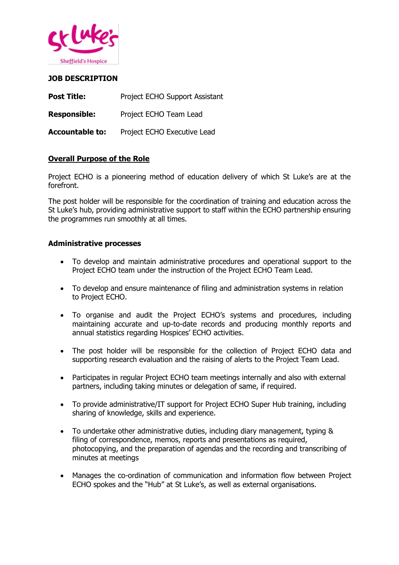

# **JOB DESCRIPTION**

| <b>Post Title:</b>     | Project ECHO Support Assistant |
|------------------------|--------------------------------|
| <b>Responsible:</b>    | Project ECHO Team Lead         |
| <b>Accountable to:</b> | Project ECHO Executive Lead    |

## **Overall Purpose of the Role**

Project ECHO is a pioneering method of education delivery of which St Luke's are at the forefront.

The post holder will be responsible for the coordination of training and education across the St Luke's hub, providing administrative support to staff within the ECHO partnership ensuring the programmes run smoothly at all times.

## **Administrative processes**

- To develop and maintain administrative procedures and operational support to the Project ECHO team under the instruction of the Project ECHO Team Lead.
- To develop and ensure maintenance of filing and administration systems in relation to Project ECHO.
- To organise and audit the Project ECHO's systems and procedures, including maintaining accurate and up-to-date records and producing monthly reports and annual statistics regarding Hospices' ECHO activities.
- The post holder will be responsible for the collection of Project ECHO data and supporting research evaluation and the raising of alerts to the Project Team Lead.
- Participates in regular Project ECHO team meetings internally and also with external partners, including taking minutes or delegation of same, if required.
- To provide administrative/IT support for Project ECHO Super Hub training, including sharing of knowledge, skills and experience.
- To undertake other administrative duties, including diary management, typing & filing of correspondence, memos, reports and presentations as required, photocopying, and the preparation of agendas and the recording and transcribing of minutes at meetings
- Manages the co-ordination of communication and information flow between Project ECHO spokes and the "Hub" at St Luke's, as well as external organisations.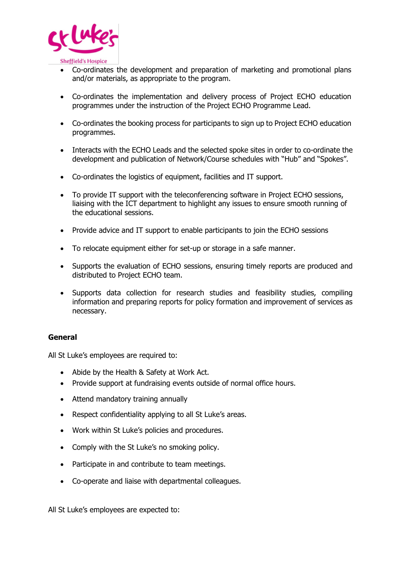

- Co-ordinates the development and preparation of marketing and promotional plans and/or materials, as appropriate to the program.
- Co-ordinates the implementation and delivery process of Project ECHO education programmes under the instruction of the Project ECHO Programme Lead.
- Co-ordinates the booking process for participants to sign up to Project ECHO education programmes.
- Interacts with the ECHO Leads and the selected spoke sites in order to co-ordinate the development and publication of Network/Course schedules with "Hub" and "Spokes".
- Co-ordinates the logistics of equipment, facilities and IT support.
- To provide IT support with the teleconferencing software in Project ECHO sessions, liaising with the ICT department to highlight any issues to ensure smooth running of the educational sessions.
- Provide advice and IT support to enable participants to join the ECHO sessions
- To relocate equipment either for set-up or storage in a safe manner.
- Supports the evaluation of ECHO sessions, ensuring timely reports are produced and distributed to Project ECHO team.
- Supports data collection for research studies and feasibility studies, compiling information and preparing reports for policy formation and improvement of services as necessary.

## **General**

All St Luke's employees are required to:

- Abide by the Health & Safety at Work Act.
- Provide support at fundraising events outside of normal office hours.
- Attend mandatory training annually
- Respect confidentiality applying to all St Luke's areas.
- Work within St Luke's policies and procedures.
- Comply with the St Luke's no smoking policy.
- Participate in and contribute to team meetings.
- Co-operate and liaise with departmental colleagues.

All St Luke's employees are expected to: